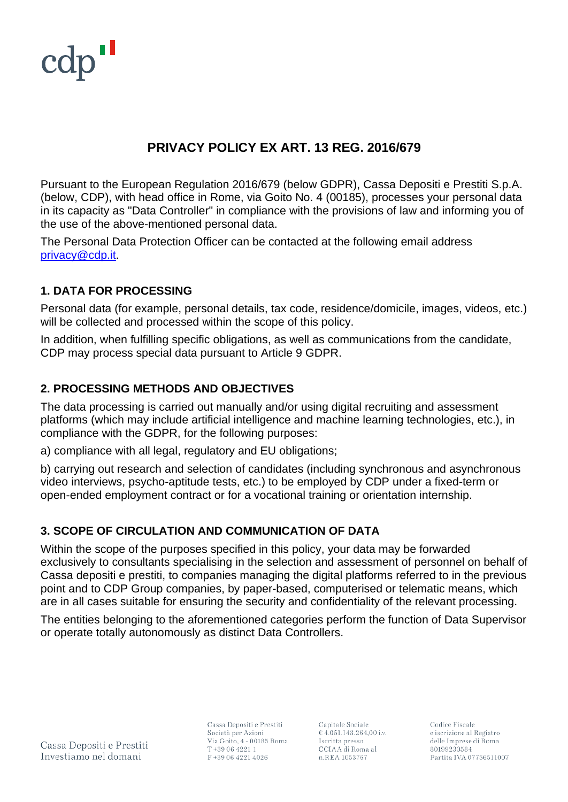

# **PRIVACY POLICY EX ART. 13 REG. 2016/679**

Pursuant to the European Regulation 2016/679 (below GDPR), Cassa Depositi e Prestiti S.p.A. (below, CDP), with head office in Rome, via Goito No. 4 (00185), processes your personal data in its capacity as "Data Controller" in compliance with the provisions of law and informing you of the use of the above-mentioned personal data.

The Personal Data Protection Officer can be contacted at the following email address [privacy@cdp.it.](mailto:privacy@cdp.it)

#### **1. DATA FOR PROCESSING**

Personal data (for example, personal details, tax code, residence/domicile, images, videos, etc.) will be collected and processed within the scope of this policy.

In addition, when fulfilling specific obligations, as well as communications from the candidate, CDP may process special data pursuant to Article 9 GDPR.

#### **2. PROCESSING METHODS AND OBJECTIVES**

The data processing is carried out manually and/or using digital recruiting and assessment platforms (which may include artificial intelligence and machine learning technologies, etc.), in compliance with the GDPR, for the following purposes:

a) compliance with all legal, regulatory and EU obligations;

b) carrying out research and selection of candidates (including synchronous and asynchronous video interviews, psycho-aptitude tests, etc.) to be employed by CDP under a fixed-term or open-ended employment contract or for a vocational training or orientation internship.

## **3. SCOPE OF CIRCULATION AND COMMUNICATION OF DATA**

Within the scope of the purposes specified in this policy, your data may be forwarded exclusively to consultants specialising in the selection and assessment of personnel on behalf of Cassa depositi e prestiti, to companies managing the digital platforms referred to in the previous point and to CDP Group companies, by paper-based, computerised or telematic means, which are in all cases suitable for ensuring the security and confidentiality of the relevant processing.

The entities belonging to the aforementioned categories perform the function of Data Supervisor or operate totally autonomously as distinct Data Controllers.

Cassa Depositi e Prestiti Investiamo nel domani

Cassa Depositi e Prestiti Società per Azioni Via Goito, 4 - 00185 Roma T+39 06 4221 1 F+39 06 4221 4026

Capitale Sociale € 4.051.143.264,00 i.v. Iscritta presso CCIAA di Roma al n.REA 1053767

Codice Fiscale e iscrizione al Registro delle Imprese di Roma 80199230584 Partita IVA 07756511007